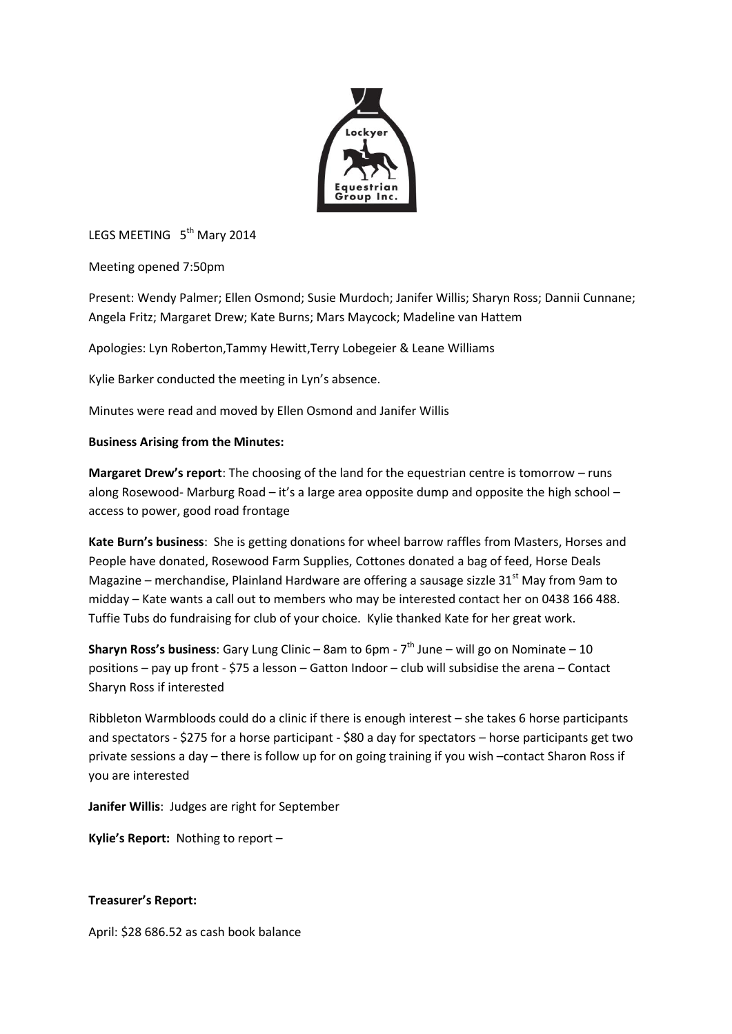

LEGS MEETING 5<sup>th</sup> Mary 2014

Meeting opened 7:50pm

Present: Wendy Palmer; Ellen Osmond; Susie Murdoch; Janifer Willis; Sharyn Ross; Dannii Cunnane; Angela Fritz; Margaret Drew; Kate Burns; Mars Maycock; Madeline van Hattem

Apologies: Lyn Roberton,Tammy Hewitt,Terry Lobegeier & Leane Williams

Kylie Barker conducted the meeting in Lyn's absence.

Minutes were read and moved by Ellen Osmond and Janifer Willis

## **Business Arising from the Minutes:**

**Margaret Drew's report**: The choosing of the land for the equestrian centre is tomorrow – runs along Rosewood- Marburg Road – it's a large area opposite dump and opposite the high school – access to power, good road frontage

**Kate Burn's business**: She is getting donations for wheel barrow raffles from Masters, Horses and People have donated, Rosewood Farm Supplies, Cottones donated a bag of feed, Horse Deals Magazine – merchandise, Plainland Hardware are offering a sausage sizzle  $31<sup>st</sup>$  May from 9am to midday – Kate wants a call out to members who may be interested contact her on 0438 166 488. Tuffie Tubs do fundraising for club of your choice. Kylie thanked Kate for her great work.

**Sharyn Ross's business**: Gary Lung Clinic – 8am to 6pm - 7<sup>th</sup> June – will go on Nominate – 10 positions – pay up front - \$75 a lesson – Gatton Indoor – club will subsidise the arena – Contact Sharyn Ross if interested

Ribbleton Warmbloods could do a clinic if there is enough interest – she takes 6 horse participants and spectators - \$275 for a horse participant - \$80 a day for spectators – horse participants get two private sessions a day – there is follow up for on going training if you wish –contact Sharon Ross if you are interested

**Janifer Willis**: Judges are right for September

**Kylie's Report:** Nothing to report –

## **Treasurer's Report:**

April: \$28 686.52 as cash book balance